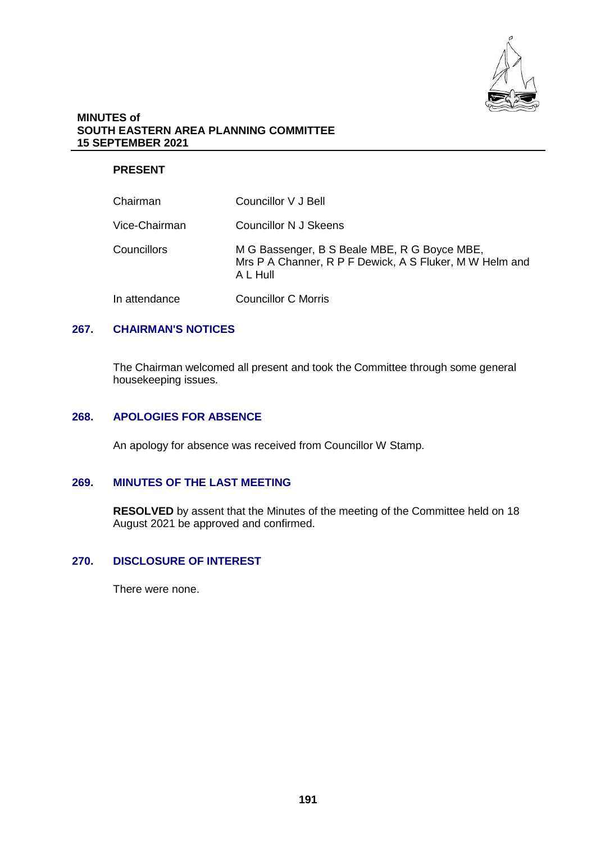

#### **MINUTES of SOUTH EASTERN AREA PLANNING COMMITTEE 15 SEPTEMBER 2021**

## **PRESENT**

| Chairman      | Councillor V J Bell                                                                                                 |
|---------------|---------------------------------------------------------------------------------------------------------------------|
| Vice-Chairman | <b>Councillor N J Skeens</b>                                                                                        |
| Councillors   | M G Bassenger, B S Beale MBE, R G Boyce MBE,<br>Mrs P A Channer, R P F Dewick, A S Fluker, M W Helm and<br>A L Hull |
| In attendance | <b>Councillor C Morris</b>                                                                                          |

### **267. CHAIRMAN'S NOTICES**

The Chairman welcomed all present and took the Committee through some general housekeeping issues.

#### **268. APOLOGIES FOR ABSENCE**

An apology for absence was received from Councillor W Stamp.

#### **269. MINUTES OF THE LAST MEETING**

**RESOLVED** by assent that the Minutes of the meeting of the Committee held on 18 August 2021 be approved and confirmed.

# **270. DISCLOSURE OF INTEREST**

There were none.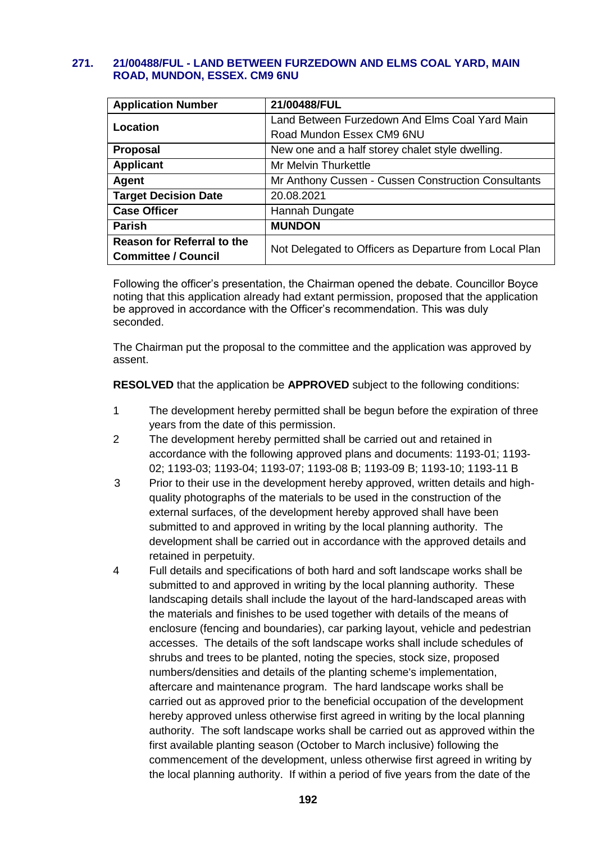### **271. 21/00488/FUL - LAND BETWEEN FURZEDOWN AND ELMS COAL YARD, MAIN ROAD, MUNDON, ESSEX. CM9 6NU**

| <b>Application Number</b>         | 21/00488/FUL                                           |  |
|-----------------------------------|--------------------------------------------------------|--|
| Location                          | Land Between Furzedown And Elms Coal Yard Main         |  |
|                                   | Road Mundon Essex CM9 6NU                              |  |
| <b>Proposal</b>                   | New one and a half storey chalet style dwelling.       |  |
| <b>Applicant</b>                  | Mr Melvin Thurkettle                                   |  |
| Agent                             | Mr Anthony Cussen - Cussen Construction Consultants    |  |
| <b>Target Decision Date</b>       | 20.08.2021                                             |  |
| <b>Case Officer</b>               | Hannah Dungate                                         |  |
| <b>Parish</b>                     | <b>MUNDON</b>                                          |  |
| <b>Reason for Referral to the</b> | Not Delegated to Officers as Departure from Local Plan |  |
| <b>Committee / Council</b>        |                                                        |  |

Following the officer's presentation, the Chairman opened the debate. Councillor Boyce noting that this application already had extant permission, proposed that the application be approved in accordance with the Officer's recommendation. This was duly seconded.

The Chairman put the proposal to the committee and the application was approved by assent.

**RESOLVED** that the application be **APPROVED** subject to the following conditions:

- 1 The development hereby permitted shall be begun before the expiration of three years from the date of this permission.
- 2 The development hereby permitted shall be carried out and retained in accordance with the following approved plans and documents: 1193-01; 1193- 02; 1193-03; 1193-04; 1193-07; 1193-08 B; 1193-09 B; 1193-10; 1193-11 B
- 3 Prior to their use in the development hereby approved, written details and highquality photographs of the materials to be used in the construction of the external surfaces, of the development hereby approved shall have been submitted to and approved in writing by the local planning authority. The development shall be carried out in accordance with the approved details and retained in perpetuity.
- 4 Full details and specifications of both hard and soft landscape works shall be submitted to and approved in writing by the local planning authority. These landscaping details shall include the layout of the hard-landscaped areas with the materials and finishes to be used together with details of the means of enclosure (fencing and boundaries), car parking layout, vehicle and pedestrian accesses. The details of the soft landscape works shall include schedules of shrubs and trees to be planted, noting the species, stock size, proposed numbers/densities and details of the planting scheme's implementation, aftercare and maintenance program. The hard landscape works shall be carried out as approved prior to the beneficial occupation of the development hereby approved unless otherwise first agreed in writing by the local planning authority. The soft landscape works shall be carried out as approved within the first available planting season (October to March inclusive) following the commencement of the development, unless otherwise first agreed in writing by the local planning authority. If within a period of five years from the date of the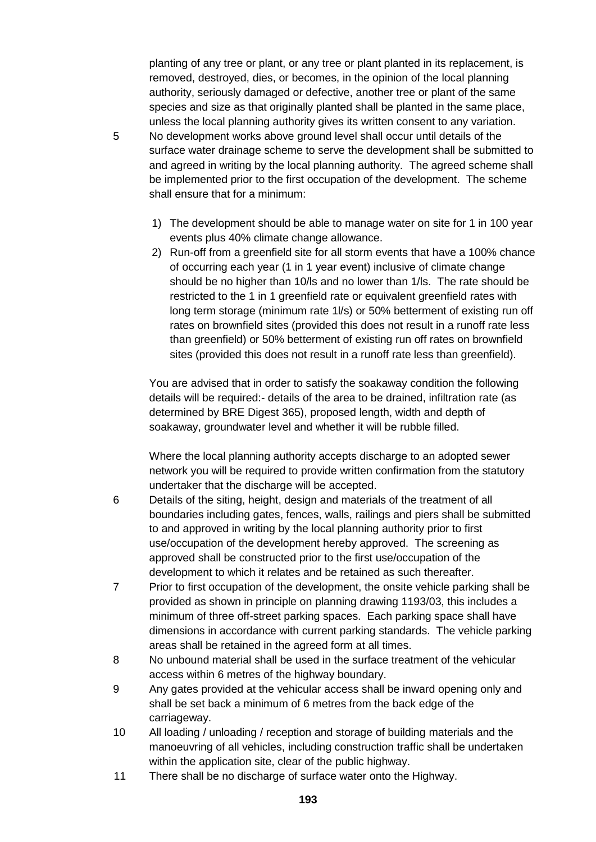planting of any tree or plant, or any tree or plant planted in its replacement, is removed, destroyed, dies, or becomes, in the opinion of the local planning authority, seriously damaged or defective, another tree or plant of the same species and size as that originally planted shall be planted in the same place, unless the local planning authority gives its written consent to any variation.

- 5 No development works above ground level shall occur until details of the surface water drainage scheme to serve the development shall be submitted to and agreed in writing by the local planning authority. The agreed scheme shall be implemented prior to the first occupation of the development. The scheme shall ensure that for a minimum:
	- 1) The development should be able to manage water on site for 1 in 100 year events plus 40% climate change allowance.
	- 2) Run-off from a greenfield site for all storm events that have a 100% chance of occurring each year (1 in 1 year event) inclusive of climate change should be no higher than 10/ls and no lower than 1/ls. The rate should be restricted to the 1 in 1 greenfield rate or equivalent greenfield rates with long term storage (minimum rate 1l/s) or 50% betterment of existing run off rates on brownfield sites (provided this does not result in a runoff rate less than greenfield) or 50% betterment of existing run off rates on brownfield sites (provided this does not result in a runoff rate less than greenfield).

You are advised that in order to satisfy the soakaway condition the following details will be required:- details of the area to be drained, infiltration rate (as determined by BRE Digest 365), proposed length, width and depth of soakaway, groundwater level and whether it will be rubble filled.

Where the local planning authority accepts discharge to an adopted sewer network you will be required to provide written confirmation from the statutory undertaker that the discharge will be accepted.

- 6 Details of the siting, height, design and materials of the treatment of all boundaries including gates, fences, walls, railings and piers shall be submitted to and approved in writing by the local planning authority prior to first use/occupation of the development hereby approved. The screening as approved shall be constructed prior to the first use/occupation of the development to which it relates and be retained as such thereafter.
- 7 Prior to first occupation of the development, the onsite vehicle parking shall be provided as shown in principle on planning drawing 1193/03, this includes a minimum of three off-street parking spaces. Each parking space shall have dimensions in accordance with current parking standards. The vehicle parking areas shall be retained in the agreed form at all times.
- 8 No unbound material shall be used in the surface treatment of the vehicular access within 6 metres of the highway boundary.
- 9 Any gates provided at the vehicular access shall be inward opening only and shall be set back a minimum of 6 metres from the back edge of the carriageway.
- 10 All loading / unloading / reception and storage of building materials and the manoeuvring of all vehicles, including construction traffic shall be undertaken within the application site, clear of the public highway.
- 11 There shall be no discharge of surface water onto the Highway.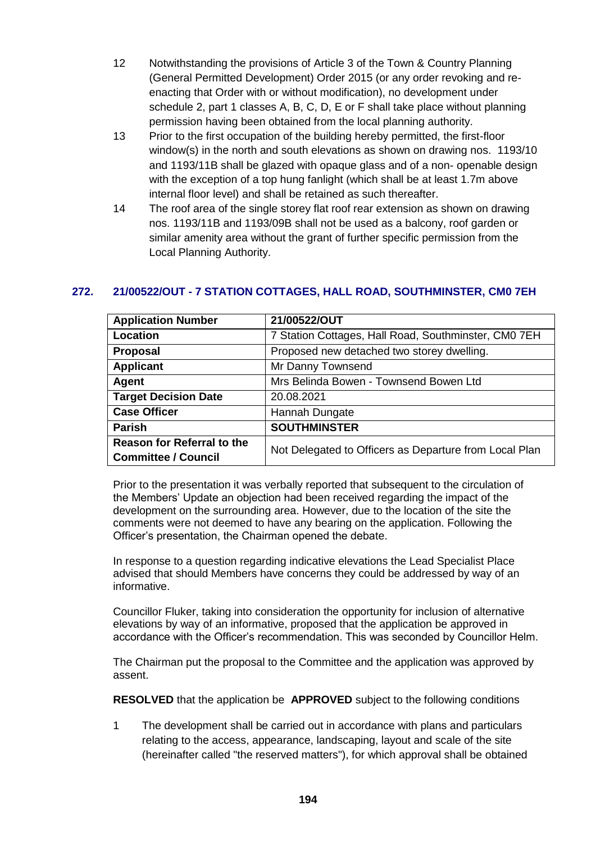- 12 Notwithstanding the provisions of Article 3 of the Town & Country Planning (General Permitted Development) Order 2015 (or any order revoking and reenacting that Order with or without modification), no development under schedule 2, part 1 classes A, B, C, D, E or F shall take place without planning permission having been obtained from the local planning authority.
- 13 Prior to the first occupation of the building hereby permitted, the first-floor window(s) in the north and south elevations as shown on drawing nos. 1193/10 and 1193/11B shall be glazed with opaque glass and of a non- openable design with the exception of a top hung fanlight (which shall be at least 1.7m above internal floor level) and shall be retained as such thereafter.
- 14 The roof area of the single storey flat roof rear extension as shown on drawing nos. 1193/11B and 1193/09B shall not be used as a balcony, roof garden or similar amenity area without the grant of further specific permission from the Local Planning Authority.

# **272. 21/00522/OUT - 7 STATION COTTAGES, HALL ROAD, SOUTHMINSTER, CM0 7EH**

| <b>Application Number</b>         | 21/00522/OUT                                           |
|-----------------------------------|--------------------------------------------------------|
| Location                          | 7 Station Cottages, Hall Road, Southminster, CM0 7EH   |
| <b>Proposal</b>                   | Proposed new detached two storey dwelling.             |
| <b>Applicant</b>                  | Mr Danny Townsend                                      |
| Agent                             | Mrs Belinda Bowen - Townsend Bowen Ltd                 |
| <b>Target Decision Date</b>       | 20.08.2021                                             |
| <b>Case Officer</b>               | Hannah Dungate                                         |
| <b>Parish</b>                     | <b>SOUTHMINSTER</b>                                    |
| <b>Reason for Referral to the</b> | Not Delegated to Officers as Departure from Local Plan |
| <b>Committee / Council</b>        |                                                        |

Prior to the presentation it was verbally reported that subsequent to the circulation of the Members' Update an objection had been received regarding the impact of the development on the surrounding area. However, due to the location of the site the comments were not deemed to have any bearing on the application. Following the Officer's presentation, the Chairman opened the debate.

In response to a question regarding indicative elevations the Lead Specialist Place advised that should Members have concerns they could be addressed by way of an informative.

Councillor Fluker, taking into consideration the opportunity for inclusion of alternative elevations by way of an informative, proposed that the application be approved in accordance with the Officer's recommendation. This was seconded by Councillor Helm.

The Chairman put the proposal to the Committee and the application was approved by assent.

**RESOLVED** that the application be **APPROVED** subject to the following conditions

1 The development shall be carried out in accordance with plans and particulars relating to the access, appearance, landscaping, layout and scale of the site (hereinafter called "the reserved matters"), for which approval shall be obtained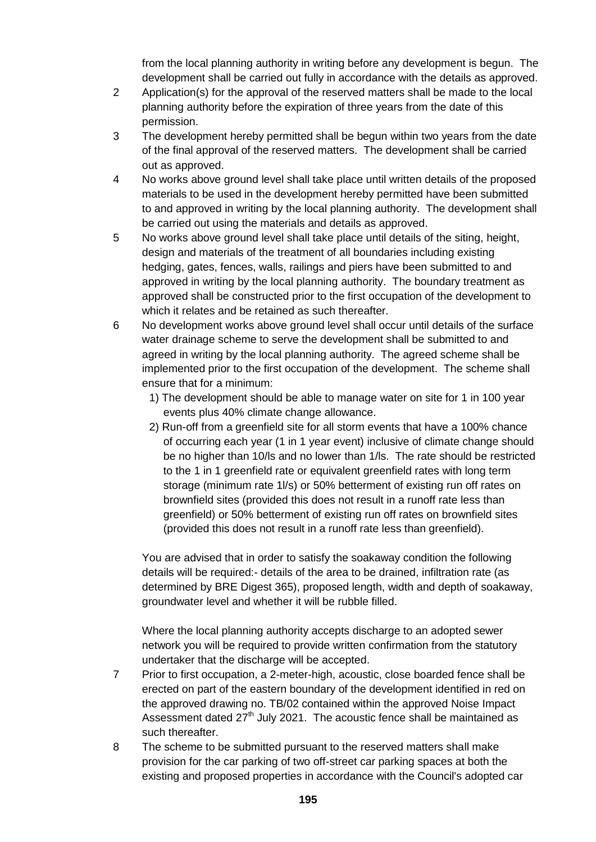from the local planning authority in writing before any development is begun. The development shall be carried out fully in accordance with the details as approved.

- 2 Application(s) for the approval of the reserved matters shall be made to the local planning authority before the expiration of three years from the date of this permission.
- 3 The development hereby permitted shall be begun within two years from the date of the final approval of the reserved matters. The development shall be carried out as approved.
- 4 No works above ground level shall take place until written details of the proposed materials to be used in the development hereby permitted have been submitted to and approved in writing by the local planning authority. The development shall be carried out using the materials and details as approved.
- 5 No works above ground level shall take place until details of the siting, height, design and materials of the treatment of all boundaries including existing hedging, gates, fences, walls, railings and piers have been submitted to and approved in writing by the local planning authority. The boundary treatment as approved shall be constructed prior to the first occupation of the development to which it relates and be retained as such thereafter.
- 6 No development works above ground level shall occur until details of the surface water drainage scheme to serve the development shall be submitted to and agreed in writing by the local planning authority. The agreed scheme shall be implemented prior to the first occupation of the development. The scheme shall ensure that for a minimum:
	- 1) The development should be able to manage water on site for 1 in 100 year events plus 40% climate change allowance.
	- 2) Run-off from a greenfield site for all storm events that have a 100% chance of occurring each year (1 in 1 year event) inclusive of climate change should be no higher than 10/ls and no lower than 1/ls. The rate should be restricted to the 1 in 1 greenfield rate or equivalent greenfield rates with long term storage (minimum rate 1l/s) or 50% betterment of existing run off rates on brownfield sites (provided this does not result in a runoff rate less than greenfield) or 50% betterment of existing run off rates on brownfield sites (provided this does not result in a runoff rate less than greenfield).

You are advised that in order to satisfy the soakaway condition the following details will be required:- details of the area to be drained, infiltration rate (as determined by BRE Digest 365), proposed length, width and depth of soakaway, groundwater level and whether it will be rubble filled.

Where the local planning authority accepts discharge to an adopted sewer network you will be required to provide written confirmation from the statutory undertaker that the discharge will be accepted.

- 7 Prior to first occupation, a 2-meter-high, acoustic, close boarded fence shall be erected on part of the eastern boundary of the development identified in red on the approved drawing no. TB/02 contained within the approved Noise Impact Assessment dated  $27<sup>th</sup>$  July 2021. The acoustic fence shall be maintained as such thereafter.
- 8 The scheme to be submitted pursuant to the reserved matters shall make provision for the car parking of two off-street car parking spaces at both the existing and proposed properties in accordance with the Council's adopted car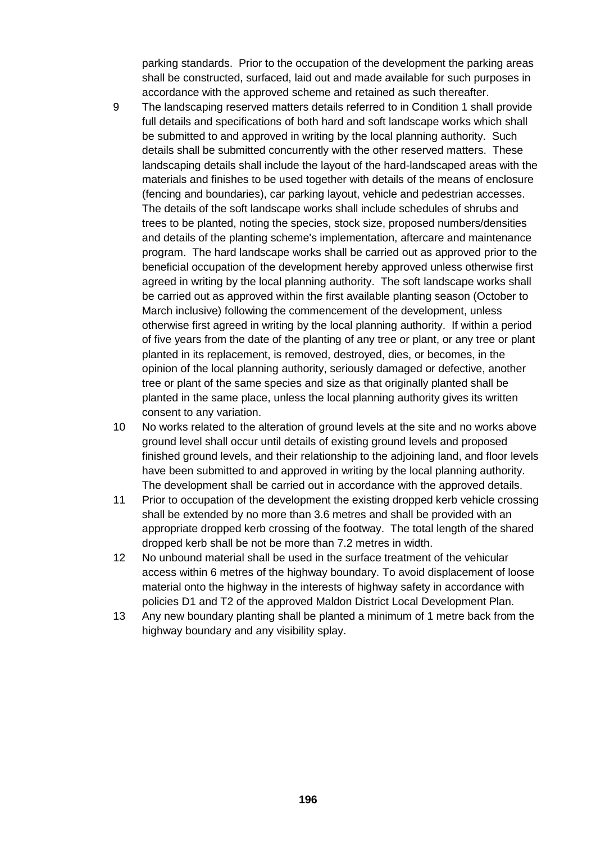parking standards. Prior to the occupation of the development the parking areas shall be constructed, surfaced, laid out and made available for such purposes in accordance with the approved scheme and retained as such thereafter.

- 9 The landscaping reserved matters details referred to in Condition 1 shall provide full details and specifications of both hard and soft landscape works which shall be submitted to and approved in writing by the local planning authority. Such details shall be submitted concurrently with the other reserved matters. These landscaping details shall include the layout of the hard-landscaped areas with the materials and finishes to be used together with details of the means of enclosure (fencing and boundaries), car parking layout, vehicle and pedestrian accesses. The details of the soft landscape works shall include schedules of shrubs and trees to be planted, noting the species, stock size, proposed numbers/densities and details of the planting scheme's implementation, aftercare and maintenance program. The hard landscape works shall be carried out as approved prior to the beneficial occupation of the development hereby approved unless otherwise first agreed in writing by the local planning authority. The soft landscape works shall be carried out as approved within the first available planting season (October to March inclusive) following the commencement of the development, unless otherwise first agreed in writing by the local planning authority. If within a period of five years from the date of the planting of any tree or plant, or any tree or plant planted in its replacement, is removed, destroyed, dies, or becomes, in the opinion of the local planning authority, seriously damaged or defective, another tree or plant of the same species and size as that originally planted shall be planted in the same place, unless the local planning authority gives its written consent to any variation.
- 10 No works related to the alteration of ground levels at the site and no works above ground level shall occur until details of existing ground levels and proposed finished ground levels, and their relationship to the adjoining land, and floor levels have been submitted to and approved in writing by the local planning authority. The development shall be carried out in accordance with the approved details.
- 11 Prior to occupation of the development the existing dropped kerb vehicle crossing shall be extended by no more than 3.6 metres and shall be provided with an appropriate dropped kerb crossing of the footway. The total length of the shared dropped kerb shall be not be more than 7.2 metres in width.
- 12 No unbound material shall be used in the surface treatment of the vehicular access within 6 metres of the highway boundary. To avoid displacement of loose material onto the highway in the interests of highway safety in accordance with policies D1 and T2 of the approved Maldon District Local Development Plan.
- 13 Any new boundary planting shall be planted a minimum of 1 metre back from the highway boundary and any visibility splay.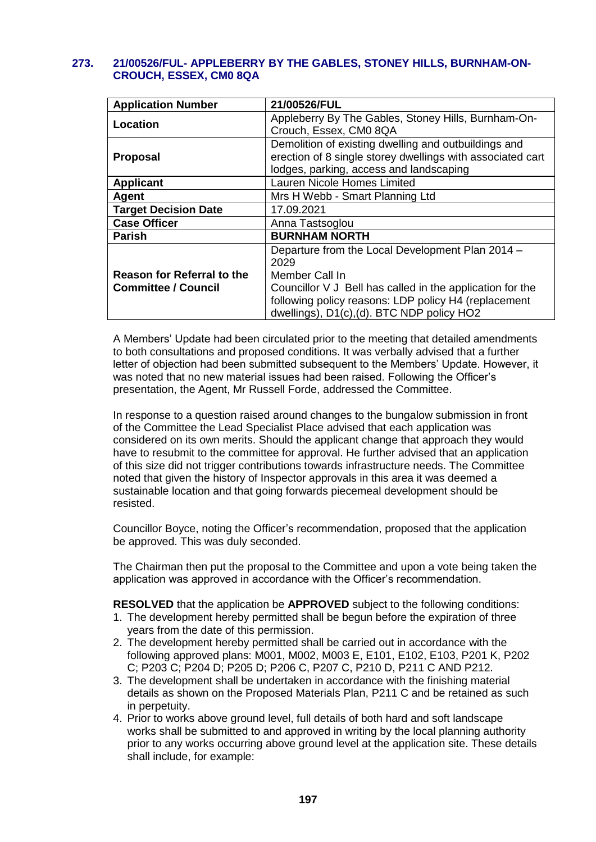### **273. 21/00526/FUL- APPLEBERRY BY THE GABLES, STONEY HILLS, BURNHAM-ON-CROUCH, ESSEX, CM0 8QA**

| <b>Application Number</b>                                | 21/00526/FUL                                                                                                                                                                                                                                 |
|----------------------------------------------------------|----------------------------------------------------------------------------------------------------------------------------------------------------------------------------------------------------------------------------------------------|
| Location                                                 | Appleberry By The Gables, Stoney Hills, Burnham-On-<br>Crouch, Essex, CM0 8QA                                                                                                                                                                |
| <b>Proposal</b>                                          | Demolition of existing dwelling and outbuildings and<br>erection of 8 single storey dwellings with associated cart<br>lodges, parking, access and landscaping                                                                                |
| <b>Applicant</b>                                         | Lauren Nicole Homes Limited                                                                                                                                                                                                                  |
| Agent                                                    | Mrs H Webb - Smart Planning Ltd                                                                                                                                                                                                              |
| <b>Target Decision Date</b>                              | 17.09.2021                                                                                                                                                                                                                                   |
| <b>Case Officer</b>                                      | Anna Tastsoglou                                                                                                                                                                                                                              |
| <b>Parish</b>                                            | <b>BURNHAM NORTH</b>                                                                                                                                                                                                                         |
| Reason for Referral to the<br><b>Committee / Council</b> | Departure from the Local Development Plan 2014 -<br>2029<br>Member Call In<br>Councillor V J Bell has called in the application for the<br>following policy reasons: LDP policy H4 (replacement<br>dwellings), D1(c),(d). BTC NDP policy HO2 |

A Members' Update had been circulated prior to the meeting that detailed amendments to both consultations and proposed conditions. It was verbally advised that a further letter of objection had been submitted subsequent to the Members' Update. However, it was noted that no new material issues had been raised. Following the Officer's presentation, the Agent, Mr Russell Forde, addressed the Committee.

In response to a question raised around changes to the bungalow submission in front of the Committee the Lead Specialist Place advised that each application was considered on its own merits. Should the applicant change that approach they would have to resubmit to the committee for approval. He further advised that an application of this size did not trigger contributions towards infrastructure needs. The Committee noted that given the history of Inspector approvals in this area it was deemed a sustainable location and that going forwards piecemeal development should be resisted.

Councillor Boyce, noting the Officer's recommendation, proposed that the application be approved. This was duly seconded.

The Chairman then put the proposal to the Committee and upon a vote being taken the application was approved in accordance with the Officer's recommendation.

**RESOLVED** that the application be **APPROVED** subject to the following conditions:

- 1. The development hereby permitted shall be begun before the expiration of three years from the date of this permission.
- 2. The development hereby permitted shall be carried out in accordance with the following approved plans: M001, M002, M003 E, E101, E102, E103, P201 K, P202 C; P203 C; P204 D; P205 D; P206 C, P207 C, P210 D, P211 C AND P212.
- 3. The development shall be undertaken in accordance with the finishing material details as shown on the Proposed Materials Plan, P211 C and be retained as such in perpetuity.
- 4. Prior to works above ground level, full details of both hard and soft landscape works shall be submitted to and approved in writing by the local planning authority prior to any works occurring above ground level at the application site. These details shall include, for example: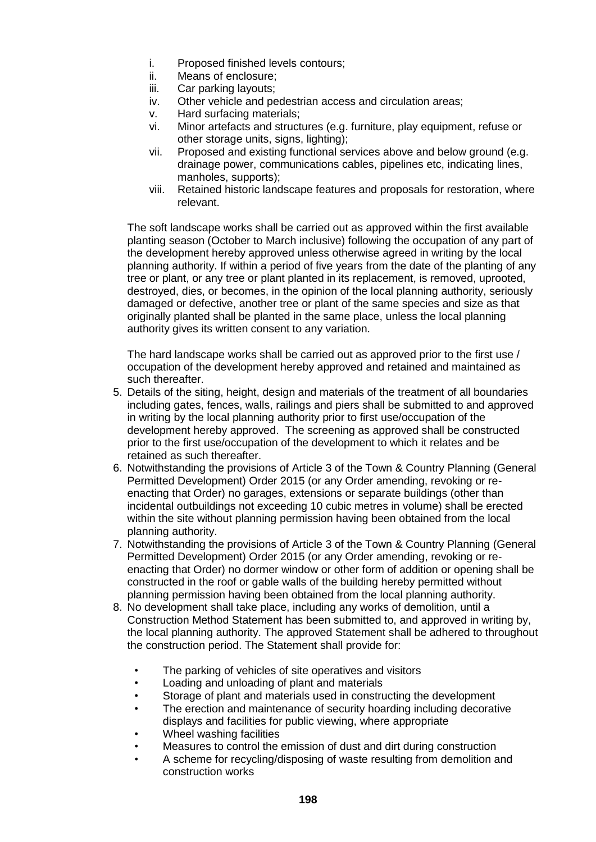- i. Proposed finished levels contours;
- ii. Means of enclosure;
- iii. Car parking layouts;
- iv. Other vehicle and pedestrian access and circulation areas;
- v. Hard surfacing materials;
- vi. Minor artefacts and structures (e.g. furniture, play equipment, refuse or other storage units, signs, lighting);
- vii. Proposed and existing functional services above and below ground (e.g. drainage power, communications cables, pipelines etc, indicating lines, manholes, supports);
- viii. Retained historic landscape features and proposals for restoration, where relevant.

The soft landscape works shall be carried out as approved within the first available planting season (October to March inclusive) following the occupation of any part of the development hereby approved unless otherwise agreed in writing by the local planning authority. If within a period of five years from the date of the planting of any tree or plant, or any tree or plant planted in its replacement, is removed, uprooted, destroyed, dies, or becomes, in the opinion of the local planning authority, seriously damaged or defective, another tree or plant of the same species and size as that originally planted shall be planted in the same place, unless the local planning authority gives its written consent to any variation.

The hard landscape works shall be carried out as approved prior to the first use / occupation of the development hereby approved and retained and maintained as such thereafter.

- 5. Details of the siting, height, design and materials of the treatment of all boundaries including gates, fences, walls, railings and piers shall be submitted to and approved in writing by the local planning authority prior to first use/occupation of the development hereby approved. The screening as approved shall be constructed prior to the first use/occupation of the development to which it relates and be retained as such thereafter.
- 6. Notwithstanding the provisions of Article 3 of the Town & Country Planning (General Permitted Development) Order 2015 (or any Order amending, revoking or reenacting that Order) no garages, extensions or separate buildings (other than incidental outbuildings not exceeding 10 cubic metres in volume) shall be erected within the site without planning permission having been obtained from the local planning authority.
- 7. Notwithstanding the provisions of Article 3 of the Town & Country Planning (General Permitted Development) Order 2015 (or any Order amending, revoking or reenacting that Order) no dormer window or other form of addition or opening shall be constructed in the roof or gable walls of the building hereby permitted without planning permission having been obtained from the local planning authority.
- 8. No development shall take place, including any works of demolition, until a Construction Method Statement has been submitted to, and approved in writing by, the local planning authority. The approved Statement shall be adhered to throughout the construction period. The Statement shall provide for:
	- The parking of vehicles of site operatives and visitors
	- Loading and unloading of plant and materials
	- Storage of plant and materials used in constructing the development
	- The erection and maintenance of security hoarding including decorative displays and facilities for public viewing, where appropriate
	- Wheel washing facilities
	- Measures to control the emission of dust and dirt during construction
	- A scheme for recycling/disposing of waste resulting from demolition and construction works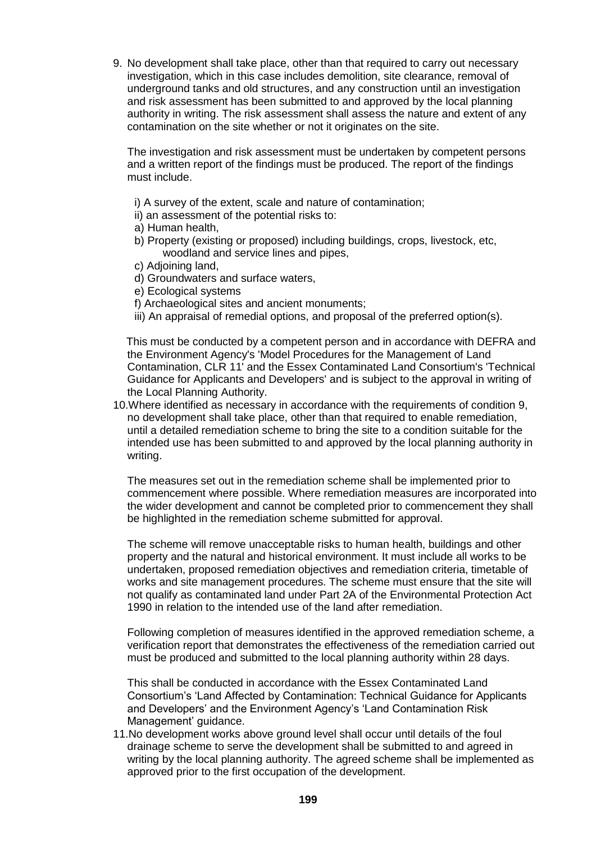9. No development shall take place, other than that required to carry out necessary investigation, which in this case includes demolition, site clearance, removal of underground tanks and old structures, and any construction until an investigation and risk assessment has been submitted to and approved by the local planning authority in writing. The risk assessment shall assess the nature and extent of any contamination on the site whether or not it originates on the site.

The investigation and risk assessment must be undertaken by competent persons and a written report of the findings must be produced. The report of the findings must include.

- i) A survey of the extent, scale and nature of contamination;
- ii) an assessment of the potential risks to:
- a) Human health,
- b) Property (existing or proposed) including buildings, crops, livestock, etc, woodland and service lines and pipes,
- c) Adjoining land,
- d) Groundwaters and surface waters,
- e) Ecological systems
- f) Archaeological sites and ancient monuments;
- iii) An appraisal of remedial options, and proposal of the preferred option(s).

 This must be conducted by a competent person and in accordance with DEFRA and the Environment Agency's 'Model Procedures for the Management of Land Contamination, CLR 11' and the Essex Contaminated Land Consortium's 'Technical Guidance for Applicants and Developers' and is subject to the approval in writing of the Local Planning Authority.

10.Where identified as necessary in accordance with the requirements of condition 9, no development shall take place, other than that required to enable remediation, until a detailed remediation scheme to bring the site to a condition suitable for the intended use has been submitted to and approved by the local planning authority in writing.

The measures set out in the remediation scheme shall be implemented prior to commencement where possible. Where remediation measures are incorporated into the wider development and cannot be completed prior to commencement they shall be highlighted in the remediation scheme submitted for approval.

The scheme will remove unacceptable risks to human health, buildings and other property and the natural and historical environment. It must include all works to be undertaken, proposed remediation objectives and remediation criteria, timetable of works and site management procedures. The scheme must ensure that the site will not qualify as contaminated land under Part 2A of the Environmental Protection Act 1990 in relation to the intended use of the land after remediation.

Following completion of measures identified in the approved remediation scheme, a verification report that demonstrates the effectiveness of the remediation carried out must be produced and submitted to the local planning authority within 28 days.

This shall be conducted in accordance with the Essex Contaminated Land Consortium's 'Land Affected by Contamination: Technical Guidance for Applicants and Developers' and the Environment Agency's 'Land Contamination Risk Management' guidance.

11.No development works above ground level shall occur until details of the foul drainage scheme to serve the development shall be submitted to and agreed in writing by the local planning authority. The agreed scheme shall be implemented as approved prior to the first occupation of the development.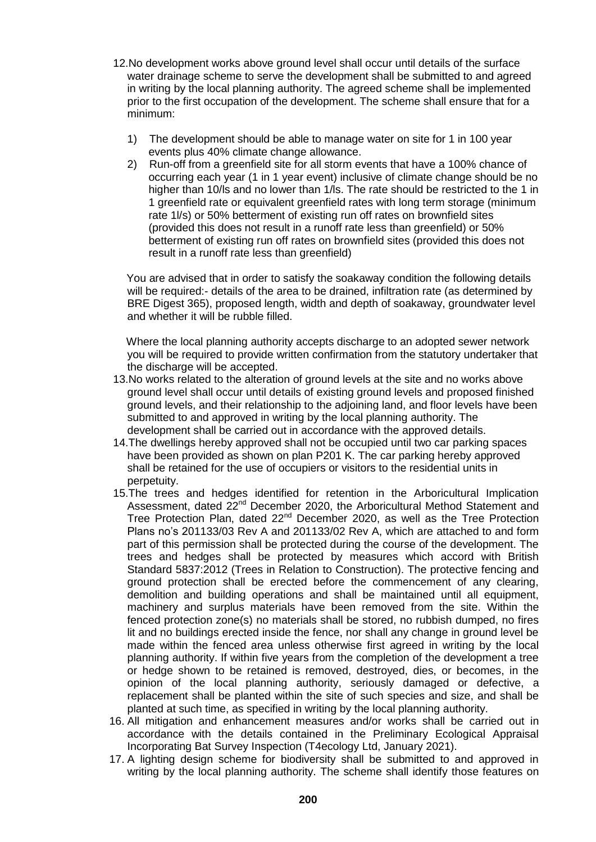- 12.No development works above ground level shall occur until details of the surface water drainage scheme to serve the development shall be submitted to and agreed in writing by the local planning authority. The agreed scheme shall be implemented prior to the first occupation of the development. The scheme shall ensure that for a minimum:
	- 1) The development should be able to manage water on site for 1 in 100 year events plus 40% climate change allowance.
	- 2) Run-off from a greenfield site for all storm events that have a 100% chance of occurring each year (1 in 1 year event) inclusive of climate change should be no higher than 10/ls and no lower than 1/ls. The rate should be restricted to the 1 in 1 greenfield rate or equivalent greenfield rates with long term storage (minimum rate 1l/s) or 50% betterment of existing run off rates on brownfield sites (provided this does not result in a runoff rate less than greenfield) or 50% betterment of existing run off rates on brownfield sites (provided this does not result in a runoff rate less than greenfield)

 You are advised that in order to satisfy the soakaway condition the following details will be required:- details of the area to be drained, infiltration rate (as determined by BRE Digest 365), proposed length, width and depth of soakaway, groundwater level and whether it will be rubble filled.

 Where the local planning authority accepts discharge to an adopted sewer network you will be required to provide written confirmation from the statutory undertaker that the discharge will be accepted.

- 13.No works related to the alteration of ground levels at the site and no works above ground level shall occur until details of existing ground levels and proposed finished ground levels, and their relationship to the adjoining land, and floor levels have been submitted to and approved in writing by the local planning authority. The development shall be carried out in accordance with the approved details.
- 14.The dwellings hereby approved shall not be occupied until two car parking spaces have been provided as shown on plan P201 K. The car parking hereby approved shall be retained for the use of occupiers or visitors to the residential units in perpetuity.
- 15.The trees and hedges identified for retention in the Arboricultural Implication Assessment, dated 22<sup>nd</sup> December 2020, the Arboricultural Method Statement and Tree Protection Plan, dated 22<sup>nd</sup> December 2020, as well as the Tree Protection Plans no's 201133/03 Rev A and 201133/02 Rev A, which are attached to and form part of this permission shall be protected during the course of the development. The trees and hedges shall be protected by measures which accord with British Standard 5837:2012 (Trees in Relation to Construction). The protective fencing and ground protection shall be erected before the commencement of any clearing, demolition and building operations and shall be maintained until all equipment, machinery and surplus materials have been removed from the site. Within the fenced protection zone(s) no materials shall be stored, no rubbish dumped, no fires lit and no buildings erected inside the fence, nor shall any change in ground level be made within the fenced area unless otherwise first agreed in writing by the local planning authority. If within five years from the completion of the development a tree or hedge shown to be retained is removed, destroyed, dies, or becomes, in the opinion of the local planning authority, seriously damaged or defective, a replacement shall be planted within the site of such species and size, and shall be planted at such time, as specified in writing by the local planning authority.
- 16. All mitigation and enhancement measures and/or works shall be carried out in accordance with the details contained in the Preliminary Ecological Appraisal Incorporating Bat Survey Inspection (T4ecology Ltd, January 2021).
- 17. A lighting design scheme for biodiversity shall be submitted to and approved in writing by the local planning authority. The scheme shall identify those features on